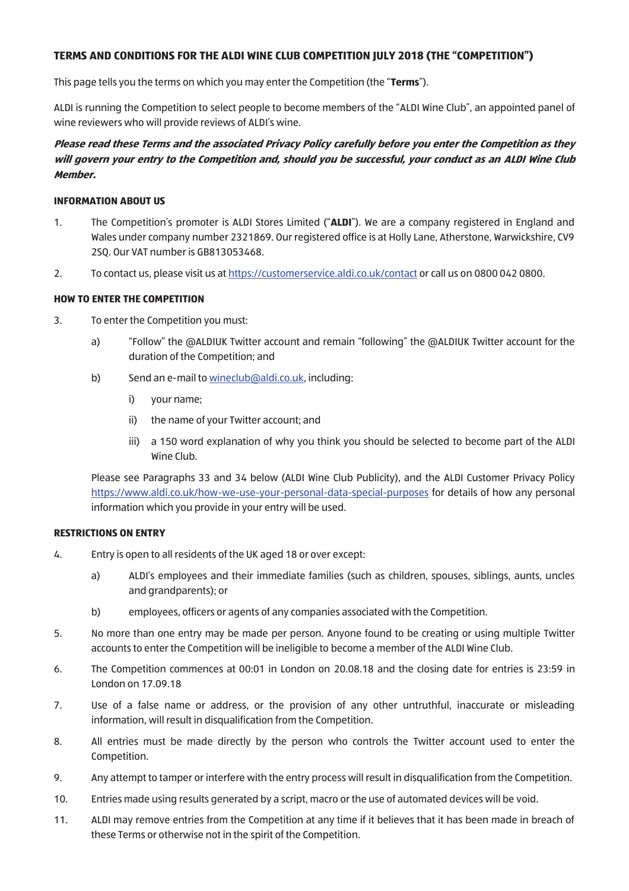## **TERMS AND CONDITIONS FOR THE ALDI WINE CLUB COMPETITION JULY 2018 (THE "COMPETITION")**

This page tells you the terms on which you may enter the Competition (the "**Terms**").

ALDI is running the Competition to select people to become members of the "ALDI Wine Club", an appointed panel of wine reviewers who will provide reviews of ALDI's wine.

# **Please read these Terms and the associated Privacy Policy carefully before you enter the Competition as they will govern your entry to the Competition and, should you be successful, your conduct as an ALDI Wine Club Member.**

#### **INFORMATION ABOUT US**

- 1. The Competition's promoter is ALDI Stores Limited ("**ALDI**"). We are a company registered in England and Wales under company number 2321869. Our registered office is at Holly Lane, Atherstone, Warwickshire, CV9 2SQ. Our VAT number is GB813053468.
- 2. To contact us, please visit us at https://customerservice.aldi.co.uk/contact or call us on 0800 042 0800.

## **HOW TO ENTER THE COMPETITION**

- 3. To enter the Competition you must:
	- a) "Follow" the @ALDIUK Twitter account and remain "following" the @ALDIUK Twitter account for the duration of the Competition; and
	- b) Send an e-mail to wineclub@aldi.co.uk, including:
		- i) your name;
		- ii) the name of your Twitter account; and
		- iii) a 150 word explanation of why you think you should be selected to become part of the ALDI Wine Club.

Please see Paragraphs 33 and 34 below (ALDI Wine Club Publicity), and the ALDI Customer Privacy Policy https://www.aldi.co.uk/how-we-use-your-personal-data-special-purposes for details of how any personal information which you provide in your entry will be used.

#### **RESTRICTIONS ON ENTRY**

- 4. Entry is open to all residents of the UK aged 18 or over except:
	- a) ALDI's employees and their immediate families (such as children, spouses, siblings, aunts, uncles and grandparents); or
	- b) employees, officers or agents of any companies associated with the Competition.
- 5. No more than one entry may be made per person. Anyone found to be creating or using multiple Twitter accounts to enter the Competition will be ineligible to become a member of the ALDI Wine Club.
- 6. The Competition commences at 00:01 in London on 20.08.18 and the closing date for entries is 23:59 in London on 17.09.18
- 7. Use of a false name or address, or the provision of any other untruthful, inaccurate or misleading information, will result in disqualification from the Competition.
- 8. All entries must be made directly by the person who controls the Twitter account used to enter the Competition.
- 9. Any attempt to tamper or interfere with the entry process will result in disqualification from the Competition.
- 10. Entries made using results generated by a script, macro or the use of automated devices will be void.
- 11. ALDI may remove entries from the Competition at any time if it believes that it has been made in breach of these Terms or otherwise not in the spirit of the Competition.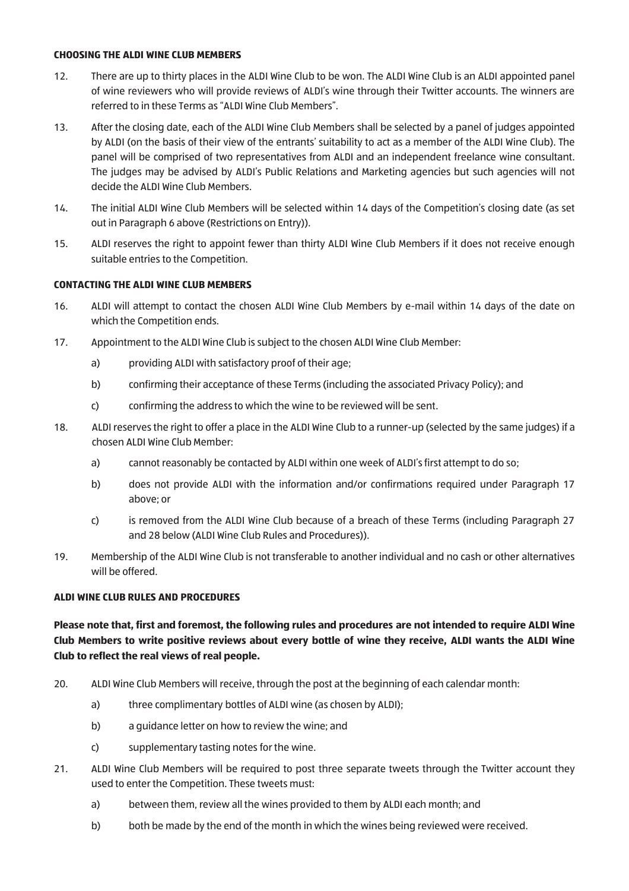#### **CHOOSING THE ALDI WINE CLUB MEMBERS**

- 12. There are up to thirty places in the ALDI Wine Club to be won. The ALDI Wine Club is an ALDI appointed panel of wine reviewers who will provide reviews of ALDI's wine through their Twitter accounts. The winners are referred to in these Terms as "ALDI Wine Club Members".
- 13. After the closing date, each of the ALDI Wine Club Members shall be selected by a panel of judges appointed by ALDI (on the basis of their view of the entrants' suitability to act as a member of the ALDI Wine Club). The panel will be comprised of two representatives from ALDI and an independent freelance wine consultant. The judges may be advised by ALDI's Public Relations and Marketing agencies but such agencies will not decide the ALDI Wine Club Members.
- 14. The initial ALDI Wine Club Members will be selected within 14 days of the Competition's closing date (as set out in Paragraph 6 above (Restrictions on Entry)).
- 15. ALDI reserves the right to appoint fewer than thirty ALDI Wine Club Members if it does not receive enough suitable entries to the Competition.

#### **CONTACTING THE ALDI WINE CLUB MEMBERS**

- 16. ALDI will attempt to contact the chosen ALDI Wine Club Members by e-mail within 14 days of the date on which the Competition ends.
- 17. Appointment to the ALDI Wine Club is subject to the chosen ALDI Wine Club Member:
	- a) providing ALDI with satisfactory proof of their age;
	- b) confirming their acceptance of these Terms (including the associated Privacy Policy); and
	- c) confirming the address to which the wine to be reviewed will be sent.
- 18. ALDI reserves the right to offer a place in the ALDI Wine Club to a runner-up (selected by the same judges) if a chosen ALDI Wine Club Member:
	- a) cannot reasonably be contacted by ALDI within one week of ALDI's first attempt to do so;
	- b) does not provide ALDI with the information and/or confirmations required under Paragraph 17 above; or
	- c) is removed from the ALDI Wine Club because of a breach of these Terms (including Paragraph 27 and 28 below (ALDI Wine Club Rules and Procedures)).
- 19. Membership of the ALDI Wine Club is not transferable to another individual and no cash or other alternatives will be offered.

#### **ALDI WINE CLUB RULES AND PROCEDURES**

## **Please note that, first and foremost, the following rules and procedures are not intended to require ALDI Wine Club Members to write positive reviews about every bottle of wine they receive, ALDI wants the ALDI Wine Club to reflect the real views of real people.**

- 20. ALDI Wine Club Members will receive, through the post at the beginning of each calendar month:
	- a) three complimentary bottles of ALDI wine (as chosen by ALDI);
	- b) a guidance letter on how to review the wine; and
	- c) supplementary tasting notes for the wine.
- 21. ALDI Wine Club Members will be required to post three separate tweets through the Twitter account they used to enter the Competition. These tweets must:
	- a) between them, review all the wines provided to them by ALDI each month; and
	- b) both be made by the end of the month in which the wines being reviewed were received.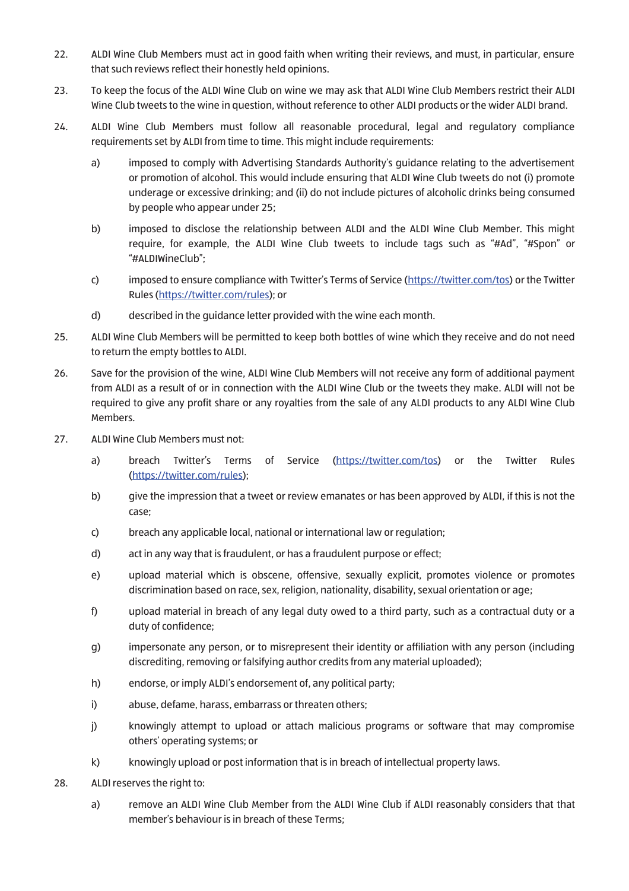- 22. ALDI Wine Club Members must act in good faith when writing their reviews, and must, in particular, ensure that such reviews reflect their honestly held opinions.
- 23. To keep the focus of the ALDI Wine Club on wine we may ask that ALDI Wine Club Members restrict their ALDI Wine Club tweets to the wine in question, without reference to other ALDI products or the wider ALDI brand.
- 24. ALDI Wine Club Members must follow all reasonable procedural, legal and regulatory compliance requirements set by ALDI from time to time. This might include requirements:
	- a) imposed to comply with Advertising Standards Authority's guidance relating to the advertisement or promotion of alcohol. This would include ensuring that ALDI Wine Club tweets do not (i) promote underage or excessive drinking; and (ii) do not include pictures of alcoholic drinks being consumed by people who appear under 25;
	- b) imposed to disclose the relationship between ALDI and the ALDI Wine Club Member. This might require, for example, the ALDI Wine Club tweets to include tags such as "#Ad", "#Spon" or "#ALDIWineClub";
	- c) imposed to ensure compliance with Twitter's Terms of Service (https://twitter.com/tos) or the Twitter Rules (https://twitter.com/rules); or
	- d) described in the guidance letter provided with the wine each month.
- 25. ALDI Wine Club Members will be permitted to keep both bottles of wine which they receive and do not need to return the empty bottles to ALDI.
- 26. Save for the provision of the wine, ALDI Wine Club Members will not receive any form of additional payment from ALDI as a result of or in connection with the ALDI Wine Club or the tweets they make. ALDI will not be required to give any profit share or any royalties from the sale of any ALDI products to any ALDI Wine Club Members.
- 27. ALDI Wine Club Members must not:
	- a) breach Twitter's Terms of Service (https://twitter.com/tos) or the Twitter Rules (https://twitter.com/rules);
	- b) give the impression that a tweet or review emanates or has been approved by ALDI, if this is not the case;
	- c) breach any applicable local, national or international law or regulation;
	- d) act in any way that is fraudulent, or has a fraudulent purpose or effect;
	- e) upload material which is obscene, offensive, sexually explicit, promotes violence or promotes discrimination based on race, sex, religion, nationality, disability, sexual orientation or age;
	- f) upload material in breach of any legal duty owed to a third party, such as a contractual duty or a duty of confidence;
	- g) impersonate any person, or to misrepresent their identity or affiliation with any person (including discrediting, removing or falsifying author credits from any material uploaded);
	- h) endorse, or imply ALDI's endorsement of, any political party;
	- i) abuse, defame, harass, embarrass or threaten others;
	- j) knowingly attempt to upload or attach malicious programs or software that may compromise others' operating systems; or
	- k) knowingly upload or post information that is in breach of intellectual property laws.
- 28. ALDI reserves the right to:
	- a) remove an ALDI Wine Club Member from the ALDI Wine Club if ALDI reasonably considers that that member's behaviour is in breach of these Terms;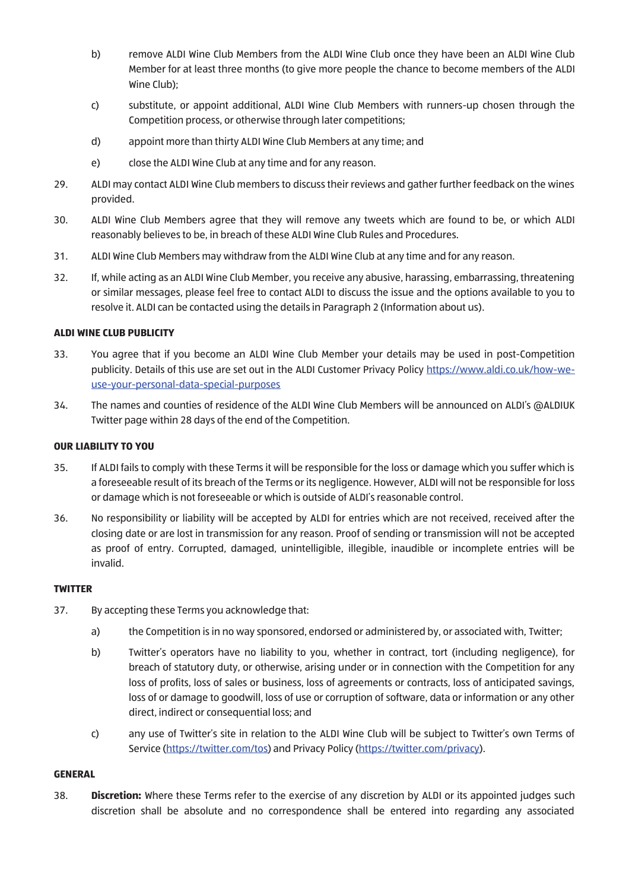- b) remove ALDI Wine Club Members from the ALDI Wine Club once they have been an ALDI Wine Club Member for at least three months (to give more people the chance to become members of the ALDI Wine Club);
- c) substitute, or appoint additional, ALDI Wine Club Members with runners-up chosen through the Competition process, or otherwise through later competitions;
- d) appoint more than thirty ALDI Wine Club Members at any time; and
- e) close the ALDI Wine Club at any time and for any reason.
- 29. ALDI may contact ALDI Wine Club members to discuss their reviews and gather further feedback on the wines provided.
- 30. ALDI Wine Club Members agree that they will remove any tweets which are found to be, or which ALDI reasonably believes to be, in breach of these ALDI Wine Club Rules and Procedures.
- 31. ALDI Wine Club Members may withdraw from the ALDI Wine Club at any time and for any reason.
- 32. If, while acting as an ALDI Wine Club Member, you receive any abusive, harassing, embarrassing, threatening or similar messages, please feel free to contact ALDI to discuss the issue and the options available to you to resolve it. ALDI can be contacted using the details in Paragraph 2 (Information about us).

#### **ALDI WINE CLUB PUBLICITY**

- 33. You agree that if you become an ALDI Wine Club Member your details may be used in post-Competition publicity. Details of this use are set out in the ALDI Customer Privacy Policy https://www.aldi.co.uk/how-weuse-your-personal-data-special-purposes
- 34. The names and counties of residence of the ALDI Wine Club Members will be announced on ALDI's @ALDIUK Twitter page within 28 days of the end of the Competition.

## **OUR LIABILITY TO YOU**

- 35. If ALDI fails to comply with these Terms it will be responsible for the loss or damage which you suffer which is a foreseeable result of its breach of the Terms or its negligence. However, ALDI will not be responsible for loss or damage which is not foreseeable or which is outside of ALDI's reasonable control.
- 36. No responsibility or liability will be accepted by ALDI for entries which are not received, received after the closing date or are lost in transmission for any reason. Proof of sending or transmission will not be accepted as proof of entry. Corrupted, damaged, unintelligible, illegible, inaudible or incomplete entries will be invalid.

#### **TWITTER**

- 37. By accepting these Terms you acknowledge that:
	- a) the Competition is in no way sponsored, endorsed or administered by, or associated with, Twitter;
	- b) Twitter's operators have no liability to you, whether in contract, tort (including negligence), for breach of statutory duty, or otherwise, arising under or in connection with the Competition for any loss of profits, loss of sales or business, loss of agreements or contracts, loss of anticipated savings, loss of or damage to goodwill, loss of use or corruption of software, data or information or any other direct, indirect or consequential loss; and
	- c) any use of Twitter's site in relation to the ALDI Wine Club will be subject to Twitter's own Terms of Service (https://twitter.com/tos) and Privacy Policy (https://twitter.com/privacy).

#### **GENERAL**

38. **Discretion:** Where these Terms refer to the exercise of any discretion by ALDI or its appointed judges such discretion shall be absolute and no correspondence shall be entered into regarding any associated